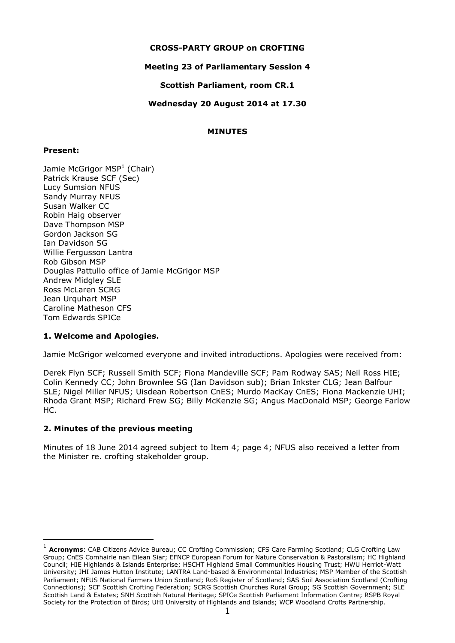### **CROSS-PARTY GROUP on CROFTING**

### **Meeting 23 of Parliamentary Session 4**

**Scottish Parliament, room CR.1**

**Wednesday 20 August 2014 at 17.30**

# **MINUTES**

### **Present:**

-

Jamie McGrigor MSP<sup>1</sup> (Chair) Patrick Krause SCF (Sec) Lucy Sumsion NFUS Sandy Murray NFUS Susan Walker CC Robin Haig observer Dave Thompson MSP Gordon Jackson SG Ian Davidson SG Willie Fergusson Lantra Rob Gibson MSP Douglas Pattullo office of Jamie McGrigor MSP Andrew Midgley SLE Ross McLaren SCRG Jean Urquhart MSP Caroline Matheson CFS Tom Edwards SPICe

# **1. Welcome and Apologies.**

Jamie McGrigor welcomed everyone and invited introductions. Apologies were received from:

Derek Flyn SCF; Russell Smith SCF; Fiona Mandeville SCF; Pam Rodway SAS; Neil Ross HIE; Colin Kennedy CC; John Brownlee SG (Ian Davidson sub); Brian Inkster CLG; Jean Balfour SLE; Nigel Miller NFUS; Uisdean Robertson CnES; Murdo MacKay CnES; Fiona Mackenzie UHI; Rhoda Grant MSP; Richard Frew SG; Billy McKenzie SG; Angus MacDonald MSP; George Farlow HC.

#### **2. Minutes of the previous meeting**

Minutes of 18 June 2014 agreed subject to Item 4; page 4; NFUS also received a letter from the Minister re. crofting stakeholder group.

<sup>1</sup> **Acronyms**: CAB Citizens Advice Bureau; CC Crofting Commission; CFS Care Farming Scotland; CLG Crofting Law Group; CnES Comhairle nan Eilean Siar; EFNCP European Forum for Nature Conservation & Pastoralism; HC Highland Council; HIE Highlands & Islands Enterprise; HSCHT Highland Small Communities Housing Trust; HWU Herriot-Watt University; JHI James Hutton Institute; LANTRA Land‑based & Environmental Industries; MSP Member of the Scottish Parliament; NFUS National Farmers Union Scotland; RoS Register of Scotland; SAS Soil Association Scotland (Crofting Connections); SCF Scottish Crofting Federation; SCRG Scottish Churches Rural Group; SG Scottish Government; SLE Scottish Land & Estates; SNH Scottish Natural Heritage; SPICe Scottish Parliament Information Centre; RSPB Royal Society for the Protection of Birds; UHI University of Highlands and Islands; WCP Woodland Crofts Partnership.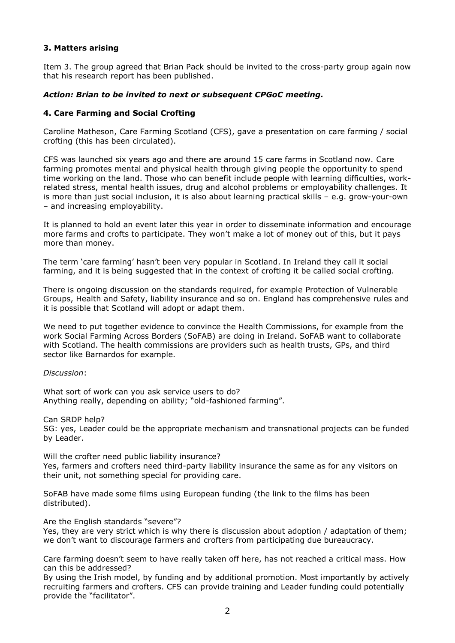### **3. Matters arising**

Item 3. The group agreed that Brian Pack should be invited to the cross-party group again now that his research report has been published.

### *Action: Brian to be invited to next or subsequent CPGoC meeting.*

### **4. Care Farming and Social Crofting**

Caroline Matheson, Care Farming Scotland (CFS), gave a presentation on care farming / social crofting (this has been circulated).

CFS was launched six years ago and there are around 15 care farms in Scotland now. Care farming promotes mental and physical health through giving people the opportunity to spend time working on the land. Those who can benefit include people with learning difficulties, workrelated stress, mental health issues, drug and alcohol problems or employability challenges. It is more than just social inclusion, it is also about learning practical skills – e.g. grow-your-own – and increasing employability.

It is planned to hold an event later this year in order to disseminate information and encourage more farms and crofts to participate. They won't make a lot of money out of this, but it pays more than money.

The term 'care farming' hasn't been very popular in Scotland. In Ireland they call it social farming, and it is being suggested that in the context of crofting it be called social crofting.

There is ongoing discussion on the standards required, for example Protection of Vulnerable Groups, Health and Safety, liability insurance and so on. England has comprehensive rules and it is possible that Scotland will adopt or adapt them.

We need to put together evidence to convince the Health Commissions, for example from the work Social Farming Across Borders (SoFAB) are doing in Ireland. SoFAB want to collaborate with Scotland. The health commissions are providers such as health trusts, GPs, and third sector like Barnardos for example.

*Discussion*:

What sort of work can you ask service users to do? Anything really, depending on ability; "old-fashioned farming".

Can SRDP help?

SG: yes, Leader could be the appropriate mechanism and transnational projects can be funded by Leader.

Will the crofter need public liability insurance? Yes, farmers and crofters need third-party liability insurance the same as for any visitors on their unit, not something special for providing care.

SoFAB have made some films using European funding (the link to the films has been distributed).

Are the English standards "severe"?

Yes, they are very strict which is why there is discussion about adoption / adaptation of them; we don't want to discourage farmers and crofters from participating due bureaucracy.

Care farming doesn't seem to have really taken off here, has not reached a critical mass. How can this be addressed?

By using the Irish model, by funding and by additional promotion. Most importantly by actively recruiting farmers and crofters. CFS can provide training and Leader funding could potentially provide the "facilitator".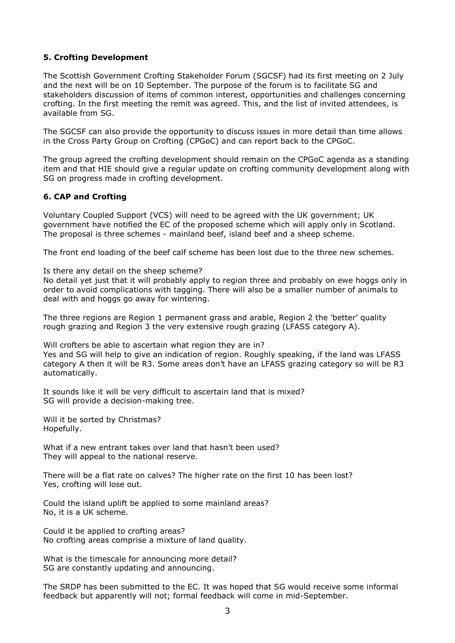### **5. Crofting Development**

The Scottish Government Crofting Stakeholder Forum (SGCSF) had its first meeting on 2 July and the next will be on 10 September. The purpose of the forum is to facilitate SG and stakeholders discussion of items of common interest, opportunities and challenges concerning crofting. In the first meeting the remit was agreed. This, and the list of invited attendees, is available from SG.

The SGCSF can also provide the opportunity to discuss issues in more detail than time allows in the Cross Party Group on Crofting (CPGoC) and can report back to the CPGoC.

The group agreed the crofting development should remain on the CPGoC agenda as a standing item and that HIE should give a regular update on crofting community development along with SG on progress made in crofting development.

### **6. CAP and Crofting**

Voluntary Coupled Support (VCS) will need to be agreed with the UK government; UK government have notified the EC of the proposed scheme which will apply only in Scotland. The proposal is three schemes - mainland beef, island beef and a sheep scheme.

The front end loading of the beef calf scheme has been lost due to the three new schemes.

Is there any detail on the sheep scheme?

No detail yet just that it will probably apply to region three and probably on ewe hoggs only in order to avoid complications with tagging. There will also be a smaller number of animals to deal with and hoggs go away for wintering.

The three regions are Region 1 permanent grass and arable, Region 2 the 'better' quality rough grazing and Region 3 the very extensive rough grazing (LFASS category A).

Will crofters be able to ascertain what region they are in? Yes and SG will help to give an indication of region. Roughly speaking, if the land was LFASS category A then it will be R3. Some areas don't have an LFASS grazing category so will be R3 automatically.

It sounds like it will be very difficult to ascertain land that is mixed? SG will provide a decision-making tree.

Will it be sorted by Christmas? Hopefully.

What if a new entrant takes over land that hasn't been used? They will appeal to the national reserve.

There will be a flat rate on calves? The higher rate on the first 10 has been lost? Yes, crofting will lose out.

Could the island uplift be applied to some mainland areas? No, it is a UK scheme.

Could it be applied to crofting areas? No crofting areas comprise a mixture of land quality.

What is the timescale for announcing more detail? SG are constantly updating and announcing.

The SRDP has been submitted to the EC. It was hoped that SG would receive some informal feedback but apparently will not; formal feedback will come in mid-September.